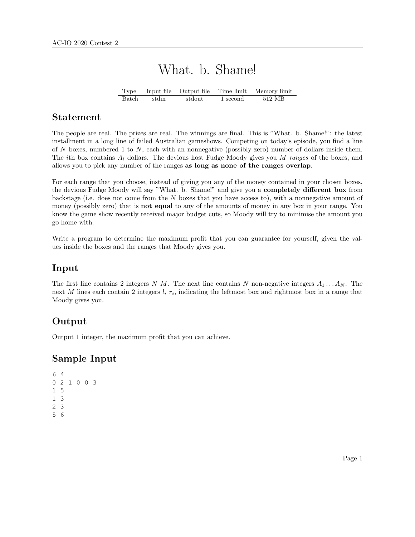# What. b. Shame!

Type Input file Output file Time limit Memory limit Batch stdin stdout 1 second 512 MB

#### Statement

The people are real. The prizes are real. The winnings are final. This is "What. b. Shame!": the latest installment in a long line of failed Australian gameshows. Competing on today's episode, you find a line of N boxes, numbered 1 to N, each with an nonnegative (possibly zero) number of dollars inside them. The *i*th box contains  $A_i$  dollars. The devious host Fudge Moody gives you M ranges of the boxes, and allows you to pick any number of the ranges as long as none of the ranges overlap.

For each range that you choose, instead of giving you any of the money contained in your chosen boxes, the devious Fudge Moody will say "What. b. Shame!" and give you a **completely different box** from backstage (i.e. does not come from the N boxes that you have access to), with a nonnegative amount of money (possibly zero) that is **not equal** to any of the amounts of money in any box in your range. You know the game show recently received major budget cuts, so Moody will try to minimise the amount you go home with.

Write a program to determine the maximum profit that you can guarantee for yourself, given the values inside the boxes and the ranges that Moody gives you.

#### Input

The first line contains 2 integers N M. The next line contains N non-negative integers  $A_1 \ldots A_N$ . The next M lines each contain 2 integers  $l_i$   $r_i$ , indicating the leftmost box and rightmost box in a range that Moody gives you.

## **Output**

Output 1 integer, the maximum profit that you can achieve.

#### Sample Input

```
6 4
0 2 1 0 0 3
1 5
1 3
2 3
5 6
```